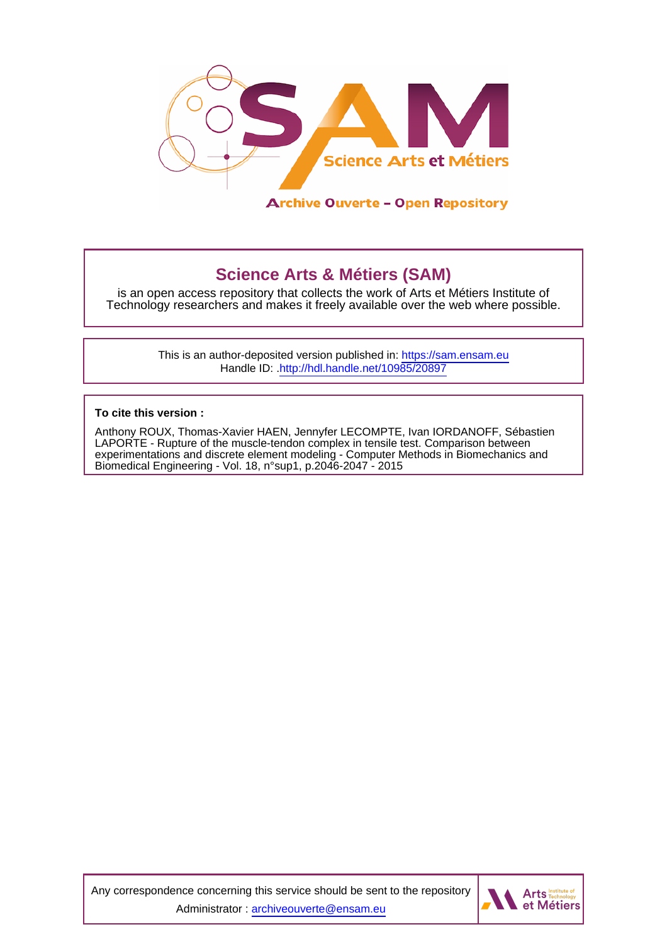

# **Science Arts & Métiers (SAM)**

is an open access repository that collects the work of Arts et Métiers Institute of Technology researchers and makes it freely available over the web where possible.

> This is an author-deposited version published in:<https://sam.ensam.eu> Handle ID: [.http://hdl.handle.net/10985/20897](http://hdl.handle.net/10985/20897)

**To cite this version :**

Anthony ROUX, Thomas-Xavier HAEN, Jennyfer LECOMPTE, Ivan IORDANOFF, Sébastien LAPORTE - Rupture of the muscle-tendon complex in tensile test. Comparison between experimentations and discrete element modeling - Computer Methods in Biomechanics and Biomedical Engineering - Vol. 18, n°sup1, p.2046-2047 - 2015

Any correspondence concerning this service should be sent to the repository Administrator : [archiveouverte@ensam.eu](mailto:archiveouverte@ensam.eu)

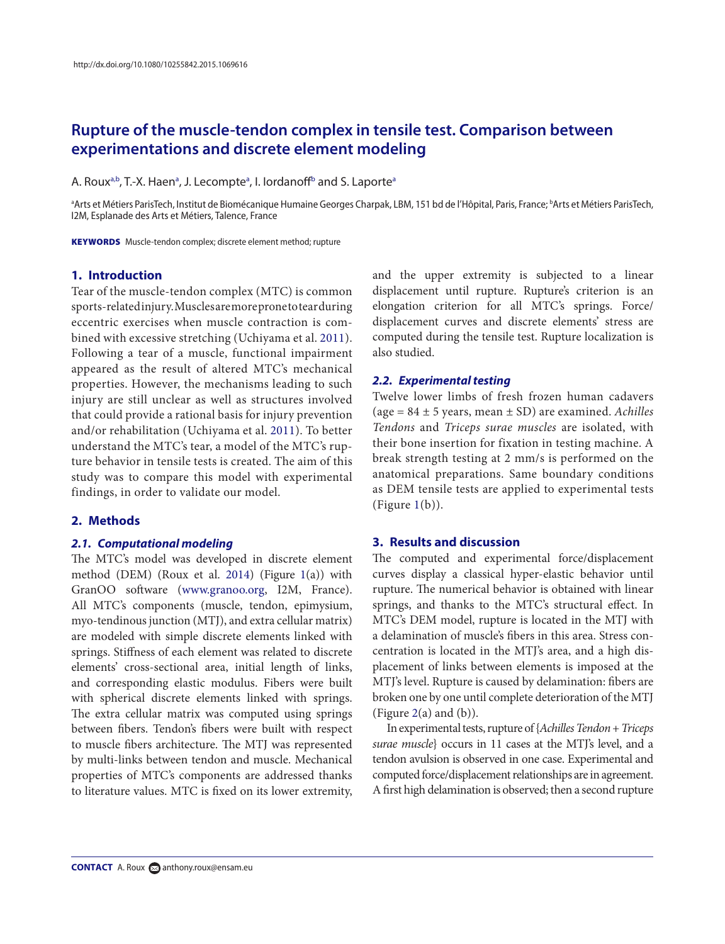# **Rupture of the muscle-tendon complex in tensile test. Comparison between experimentations and discrete element modeling**

A. Roux<sup>[a](#page-1-0)[,b](#page-1-1)</sup>, T.-X. Haen<sup>a</sup>, J. Lecompte<sup>a</sup>, I. lordanoff<sup>[b](#page-1-1)</sup> and S. Laporte<sup>a</sup>

<span id="page-1-1"></span><span id="page-1-0"></span>ªArts et Métiers ParisTech, Institut de Biomécanique Humaine Georges Charpak, LBM, 151 bd de l'Hôpital, Paris, France; ʰArts et Métiers ParisTech, I2M, Esplanade des Arts et Métiers, Talence, France

**KEYWORDS** Muscle-tendon complex; discrete element method; rupture

# **1. Introduction**

Tear of the muscle-tendon complex (MTC) is common sports-related injury. Muscles are more prone to tear during eccentric exercises when muscle contraction is combined with excessive stretching (Uchiyama et al. [2011](#page-2-0)). Following a tear of a muscle, functional impairment appeared as the result of altered MTC's mechanical properties. However, the mechanisms leading to such injury are still unclear as well as structures involved that could provide a rational basis for injury prevention and/or rehabilitation (Uchiyama et al. [2011](#page-2-0)). To better understand the MTC's tear, a model of the MTC's rupture behavior in tensile tests is created. The aim of this study was to compare this model with experimental findings, in order to validate our model.

### **2. Methods**

#### *2.1. Computational modeling*

The MTC's model was developed in discrete element method (DEM) (Roux et al. [2014](#page-2-1)) (Figure [1](#page-2-2)(a)) with GranOO software ([www.granoo.org](http://www.granoo.org), I2M, France). All MTC's components (muscle, tendon, epimysium, myo-tendinous junction (MTJ), and extra cellular matrix) are modeled with simple discrete elements linked with springs. Stiffness of each element was related to discrete elements' cross-sectional area, initial length of links, and corresponding elastic modulus. Fibers were built with spherical discrete elements linked with springs. The extra cellular matrix was computed using springs between fibers. Tendon's fibers were built with respect to muscle fibers architecture. The MTJ was represented by multi-links between tendon and muscle. Mechanical properties of MTC's components are addressed thanks to literature values. MTC is fixed on its lower extremity, and the upper extremity is subjected to a linear displacement until rupture. Rupture's criterion is an elongation criterion for all MTC's springs. Force/ displacement curves and discrete elements' stress are computed during the tensile test. Rupture localization is also studied.

# <span id="page-1-3"></span>*2.2. Experimental testing*

Twelve lower limbs of fresh frozen human cadavers (age = 84 ± 5 years, mean ± SD) are examined. *Achilles Tendons* and *Triceps surae muscles* are isolated, with their bone insertion for fixation in testing machine. A break strength testing at 2 mm/s is performed on the anatomical preparations. Same boundary conditions as DEM tensile tests are applied to experimental tests  $(Figure 1(b)).$ 

# **3. Results and discussion**

<span id="page-1-2"></span>The computed and experimental force/displacement curves display a classical hyper-elastic behavior until rupture. The numerical behavior is obtained with linear springs, and thanks to the MTC's structural effect. In MTC's DEM model, rupture is located in the MTJ with a delamination of muscle's fibers in this area. Stress concentration is located in the MTJ's area, and a high displacement of links between elements is imposed at the MTJ's level. Rupture is caused by delamination: fibers are broken one by one until complete deterioration of the MTJ (Figure  $2(a)$  and  $(b)$ ).

In experimental tests, rupture of {*Achilles Tendon* + *Triceps surae muscle*} occurs in 11 cases at the MTJ's level, and a tendon avulsion is observed in one case. Experimental and computed force/displacement relationships are in agreement. A first high delamination is observed; then a second rupture